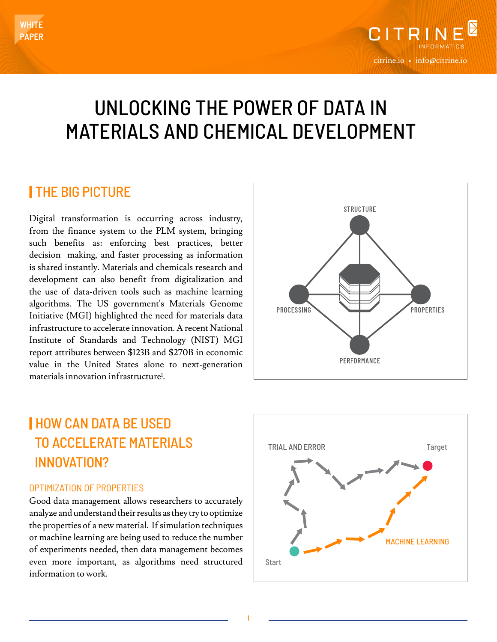

CITRIN

# UNLOCKING THE POWER OF DATA IN MATERIALS AND CHEMICAL DEVELOPMENT

1

### | THE BIG PICTURE

**WHITE PAPER**

> Digital transformation is occurring across industry, from the finance system to the PLM system, bringing such benefits as: enforcing best practices, better decision making, and faster processing as information is shared instantly. Materials and chemicals research and development can also benefit from digitalization and the use of data-driven tools such as machine learning algorithms. The US government's Materials Genome Initiative (MGI) highlighted the need for materials data infrastructure to accelerate innovation. A recent National Institute of Standards and Technology (NIST) MGI report attributes between \$123B and \$270B in economic value in the United States alone to next-generation materials innovation infrastructure<sup>1</sup>.



## | HOW CAN DATA BE USED TO ACCELERATE MATERIALS INNOVATION?

#### OPTIMIZATION OF PROPERTIES

Good data management allows researchers to accurately analyze and understand their results as they try to optimize the properties of a new material. If simulation techniques or machine learning are being used to reduce the number of experiments needed, then data management becomes even more important, as algorithms need structured information to work.

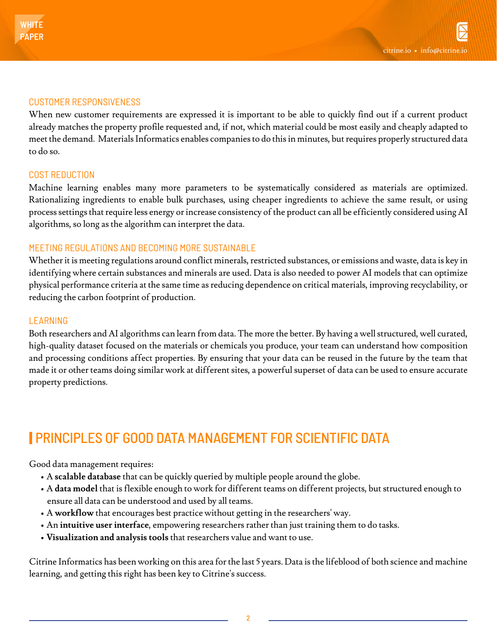#### CUSTOMER RESPONSIVENESS

When new customer requirements are expressed it is important to be able to quickly find out if a current product already matches the property profile requested and, if not, which material could be most easily and cheaply adapted to meet the demand. Materials Informatics enables companies to do this in minutes, but requires properly structured data to do so.

#### COST REDUCTION

Machine learning enables many more parameters to be systematically considered as materials are optimized. Rationalizing ingredients to enable bulk purchases, using cheaper ingredients to achieve the same result, or using process settings that require less energy or increase consistency of the product can all be efficiently considered using AI algorithms, so long as the algorithm can interpret the data.

#### MEETING REGULATIONS AND BECOMING MORE SUSTAINABLE

Whether it is meeting regulations around conflict minerals, restricted substances, or emissions and waste, data is key in identifying where certain substances and minerals are used. Data is also needed to power AI models that can optimize physical performance criteria at the same time as reducing dependence on critical materials, improving recyclability, or reducing the carbon footprint of production.

#### LEARNING

Both researchers and AI algorithms can learn from data. The more the better. By having a well structured, well curated, high-quality dataset focused on the materials or chemicals you produce, your team can understand how composition and processing conditions affect properties. By ensuring that your data can be reused in the future by the team that made it or other teams doing similar work at different sites, a powerful superset of data can be used to ensure accurate property predictions.

# | PRINCIPLES OF GOOD DATA MANAGEMENT FOR SCIENTIFIC DATA

Good data management requires:

- A **scalable database** that can be quickly queried by multiple people around the globe.
- A **data model** that is flexible enough to work for different teams on different projects, but structured enough to ensure all data can be understood and used by all teams.
- A **workflow** that encourages best practice without getting in the researchers' way.
- An **intuitive user interface**, empowering researchers rather than just training them to do tasks.
- **Visualization and analysis tools** that researchers value and want to use.

Citrine Informatics has been working on this area for the last 5 years. Data is the lifeblood of both science and machine learning, and getting this right has been key to Citrine's success.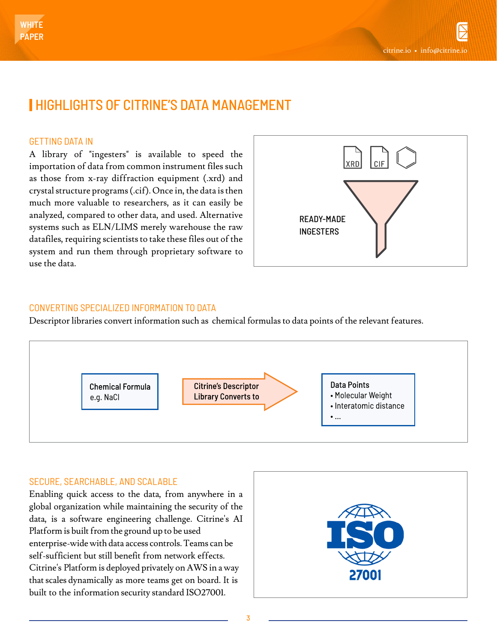### | HIGHLIGHTS OF CITRINE'S DATA MANAGEMENT

#### GETTING DATA IN

A library of "ingesters" is available to speed the importation of data from common instrument files such as those from x-ray diffraction equipment (.xrd) and crystal structure programs (.cif). Once in, the data is then much more valuable to researchers, as it can easily be analyzed, compared to other data, and used. Alternative systems such as ELN/LIMS merely warehouse the raw datafiles, requiring scientists to take these files out of the system and run them through proprietary software to use the data.



#### CONVERTING SPECIALIZED INFORMATION TO DATA

Descriptor libraries convert information such as chemical formulas to data points of the relevant features.



#### SECURE, SEARCHABLE, AND SCALABLE

Enabling quick access to the data, from anywhere in a global organization while maintaining the security of the data, is a software engineering challenge. Citrine's AI Platform is built from the ground up to be used enterprise-wide with data access controls. Teams can be self-sufficient but still benefit from network effects. Citrine's Platform is deployed privately on AWS in a way that scales dynamically as more teams get on board. It is built to the information security standard ISO27001.

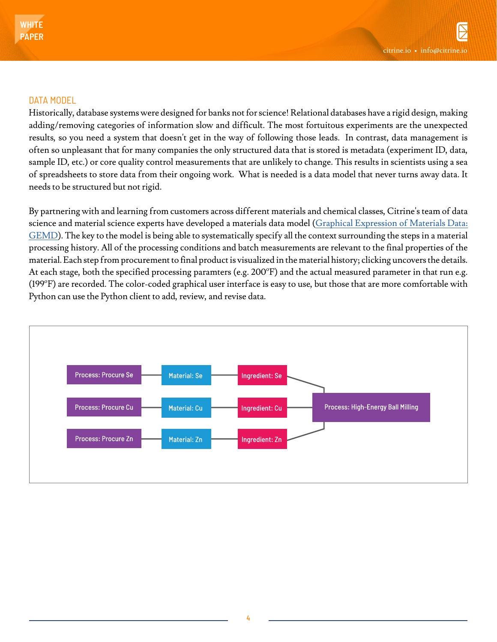#### DATA MODEL

Historically, database systems were designed for banks not for science! Relational databases have a rigid design, making adding/removing categories of information slow and difficult. The most fortuitous experiments are the unexpected results, so you need a system that doesn't get in the way of following those leads. In contrast, data management is often so unpleasant that for many companies the only structured data that is stored is metadata (experiment ID, data, sample ID, etc.) or core quality control measurements that are unlikely to change. This results in scientists using a sea of spreadsheets to store data from their ongoing work. What is needed is a data model that never turns away data. It needs to be structured but not rigid.

By partnering with and learning from customers across different materials and chemical classes, Citrine's team of data science and material science experts have developed a materials data model (Graphical [Expression of Materials Data:](https://citrineinformatics.github.io/gemd-docs/) [GEMD](https://citrineinformatics.github.io/gemd-docs/)). The key to the model is being able to systematically specify all the context surrounding the steps in a material processing history. All of the processing conditions and batch measurements are relevant to the final properties of the material. Each step from procurement to final product is visualized in the material history; clicking uncovers the details. At each stage, both the specified processing paramters (e.g. 200ºF) and the actual measured parameter in that run e.g. (199ºF) are recorded. The color-coded graphical user interface is easy to use, but those that are more comfortable with Python can use the Python client to add, review, and revise data.

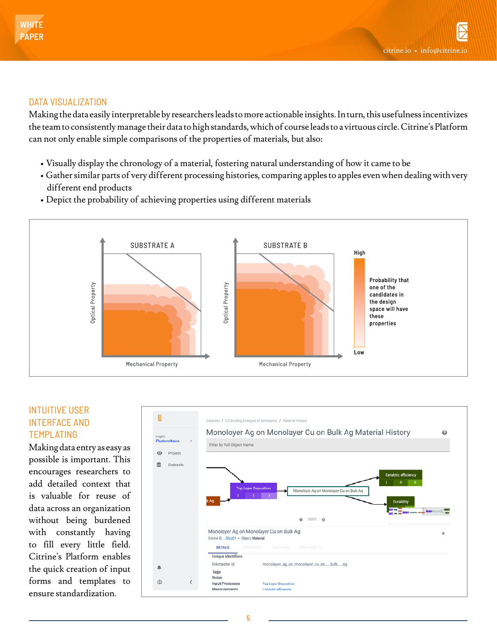#### DATA VISUALIZATION

Making the data easily interpretable by researchers leads to more actionable insights. In turn, this usefulness incentivizes the team to consistently manage their data to high standards, which of course leads to a virtuous circle. Citrine's Platform can not only enable simple comparisons of the properties of materials, but also:

- Visually display the chronology of a material, fostering natural understanding of how it came to be
- Gather similar parts of very different processing histories, comparing apples to apples even when dealing with very different end products
- Depict the probability of achieving properties using different materials



#### INTUITIVE USER INTERFACE AND TEMPLATING

Making data entry as easy as possible is important. This encourages researchers to add detailed context that is valuable for reuse of data across an organization without being burdened with constantly having to fill every little field. Citrine's Platform enables the quick creation of input forms and templates to ensure standardization.

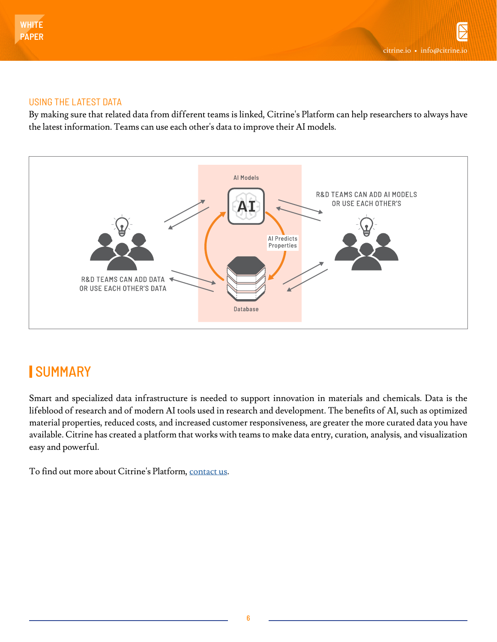#### USING THE LATEST DATA

By making sure that related data from different teams is linked, Citrine's Platform can help researchers to always have the latest information. Teams can use each other's data to improve their AI models.



# | SUMMARY

Smart and specialized data infrastructure is needed to support innovation in materials and chemicals. Data is the lifeblood of research and of modern AI tools used in research and development. The benefits of AI, such as optimized material properties, reduced costs, and increased customer responsiveness, are greater the more curated data you have available. Citrine has created a platform that works with teams to make data entry, curation, analysis, and visualization easy and powerful.

To find out more about Citrine's Platform, [contact us](https://citrine.io/contact/).